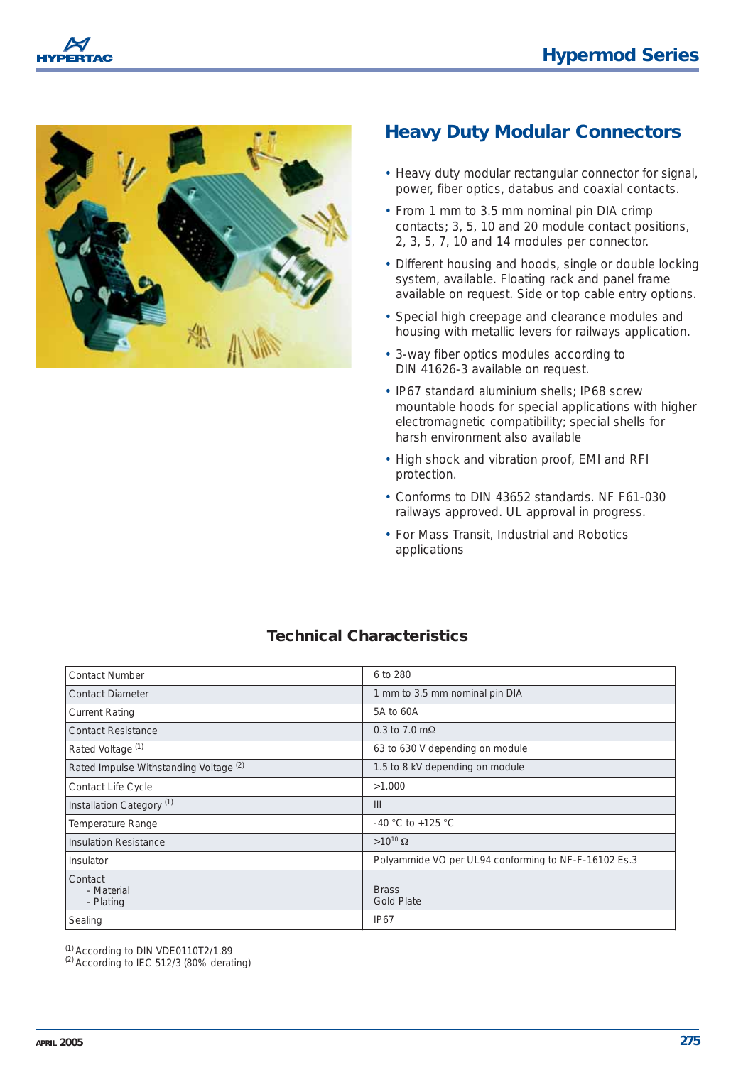



## **Heavy Duty Modular Connectors**

- Heavy duty modular rectangular connector for signal, power, fiber optics, databus and coaxial contacts.
- From 1 mm to 3.5 mm nominal pin DIA crimp contacts; 3, 5, 10 and 20 module contact positions, 2, 3, 5, 7, 10 and 14 modules per connector.
- Different housing and hoods, single or double locking system, available. Floating rack and panel frame available on request. Side or top cable entry options.
- Special high creepage and clearance modules and housing with metallic levers for railways application.
- 3-way fiber optics modules according to DIN 41626-3 available on request.
- IP67 standard aluminium shells; IP68 screw mountable hoods for special applications with higher electromagnetic compatibility; special shells for harsh environment also available
- High shock and vibration proof, EMI and RFI protection.
- Conforms to DIN 43652 standards. NF F61-030 railways approved. UL approval in progress.
- For Mass Transit, Industrial and Robotics applications

## **Technical Characteristics**

| <b>Contact Number</b>                  | 6 to 280                                             |
|----------------------------------------|------------------------------------------------------|
| Contact Diameter                       | 1 mm to 3.5 mm nominal pin DIA                       |
| <b>Current Rating</b>                  | 5A to 60A                                            |
| <b>Contact Resistance</b>              | 0.3 to 7.0 $m\Omega$                                 |
| Rated Voltage <sup>(1)</sup>           | 63 to 630 V depending on module                      |
| Rated Impulse Withstanding Voltage (2) | 1.5 to 8 kV depending on module                      |
| Contact Life Cycle                     | >1.000                                               |
| Installation Category <sup>(1)</sup>   | III                                                  |
| Temperature Range                      | -40 °C to +125 °C                                    |
| Insulation Resistance                  | $>10^{10}$ $\Omega$                                  |
| Insulator                              | Polyammide VO per UL94 conforming to NF-F-16102 Es.3 |
| Contact<br>- Material<br>- Plating     | <b>Brass</b><br><b>Gold Plate</b>                    |
| Sealing                                | <b>IP67</b>                                          |

 $(1)$  According to DIN VDE0110T2/1.89<br> $(2)$  According to IEC 512/3 (80% derating)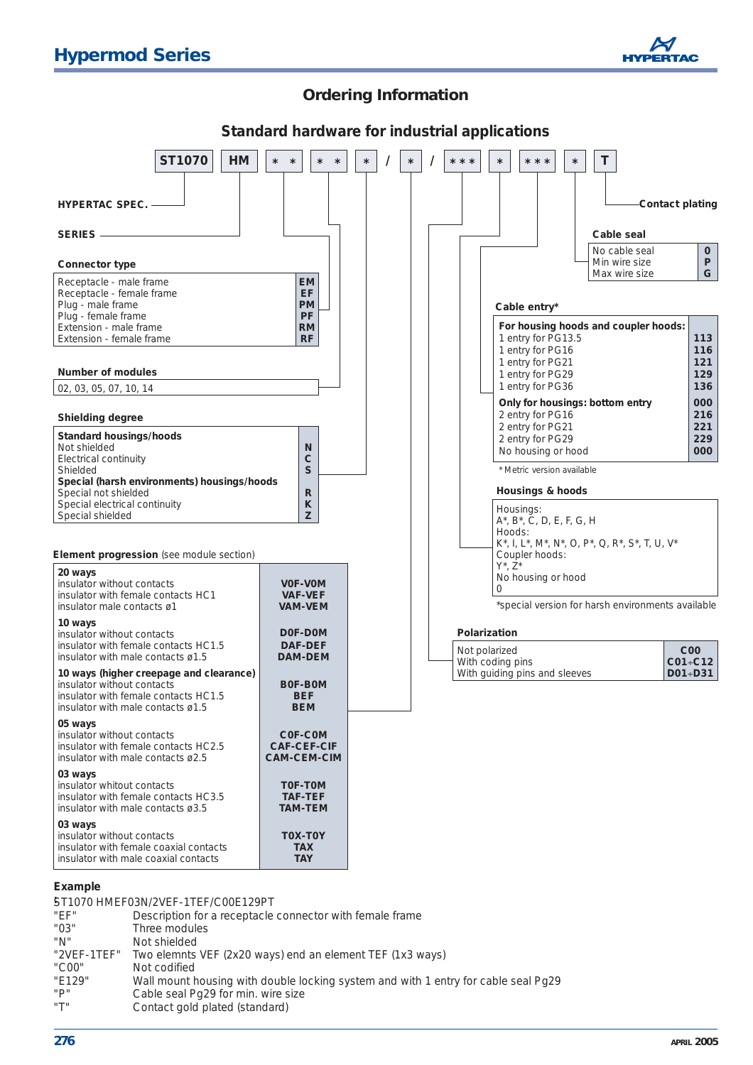

## **Ordering Information**



#### **Example**

|                    | ST1070 HMEF03N/2VEF-1TEF/C00E129PT                                                 |
|--------------------|------------------------------------------------------------------------------------|
| "EF"               | Description for a receptacle connector with female frame                           |
| "03"               | Three modules                                                                      |
| "N"                | Not shielded                                                                       |
| "2VEF-1TEF"        | Two elemnts VEF (2x20 ways) end an element TEF (1x3 ways)                          |
| "C <sub>00</sub> " | Not codified                                                                       |
| "E129"             | Wall mount housing with double locking system and with 1 entry for cable seal Pg29 |
| "P"                | Cable seal Pg29 for min. wire size                                                 |
| "T"                | Contact gold plated (standard)                                                     |
|                    |                                                                                    |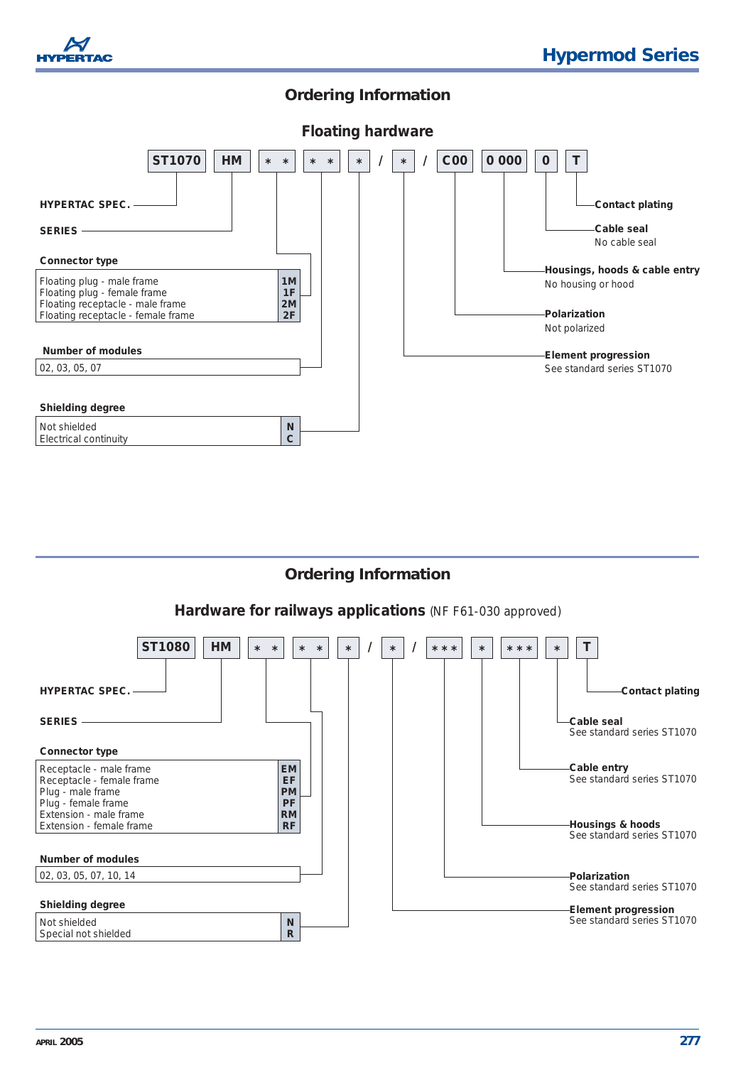

## **Ordering Information**



## **Ordering Information**

#### *Hardware for railways applications (NF F61-030 approved)*

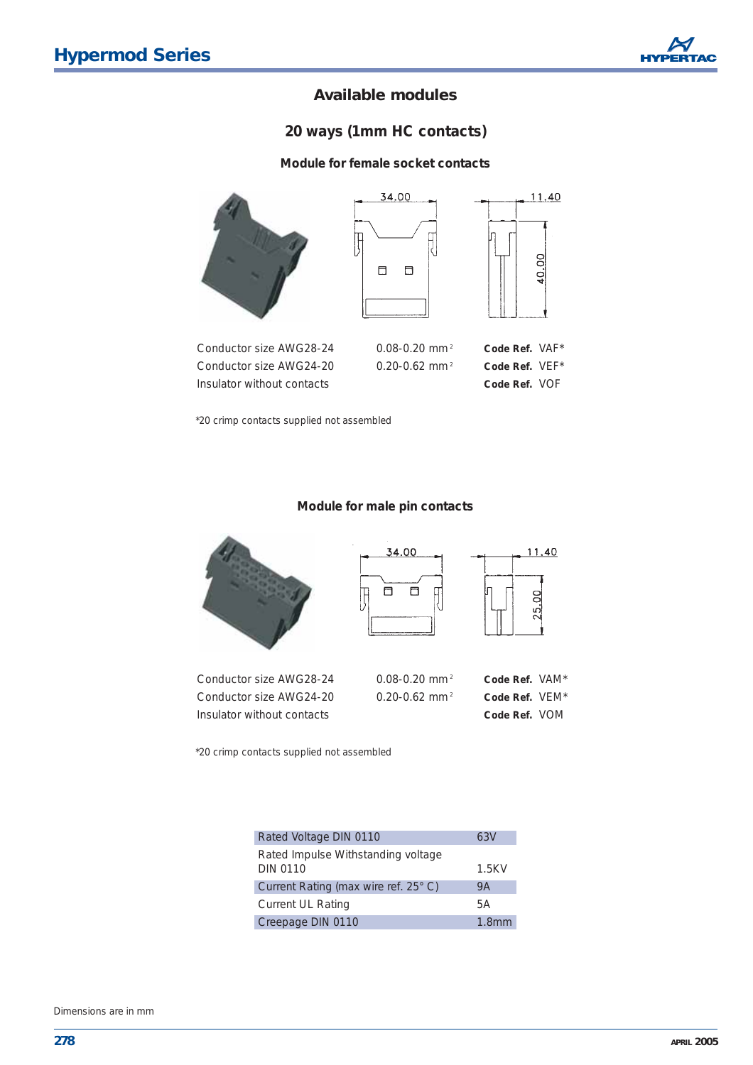## *20 ways (1mm HC contacts)*

#### **Module for female socket contacts**



Insulator without contacts **Code Ref.** VOF

\*20 crimp contacts supplied not assembled

#### **Module for male pin contacts**



\*20 crimp contacts supplied not assembled

| Rated Voltage DIN 0110                                | 63V               |
|-------------------------------------------------------|-------------------|
| Rated Impulse Withstanding voltage<br><b>DIN 0110</b> | 1.5KV             |
| Current Rating (max wire ref. 25° C)                  | 9Α                |
| <b>Current UL Rating</b>                              | 5А                |
| Creepage DIN 0110                                     | 1.8 <sub>mm</sub> |

Dimensions are in mm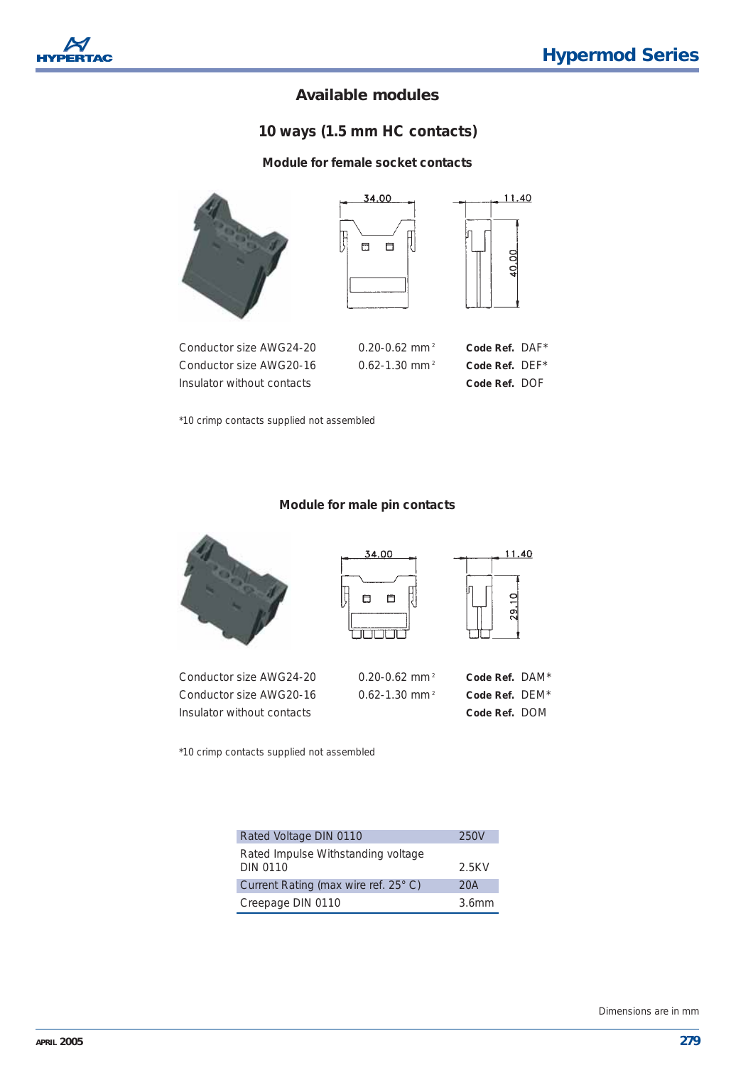

## *10 ways (1.5 mm HC contacts)*

#### **Module for female socket contacts**



Insulator without contacts **Code Ref.** DOF

\*10 crimp contacts supplied not assembled

#### **Module for male pin contacts**



\*10 crimp contacts supplied not assembled

| Rated Voltage DIN 0110               | 250V              |
|--------------------------------------|-------------------|
| Rated Impulse Withstanding voltage   |                   |
| <b>DIN 0110</b>                      | 2.5KV             |
| Current Rating (max wire ref. 25° C) | 20A               |
| Creepage DIN 0110                    | 3.6 <sub>mm</sub> |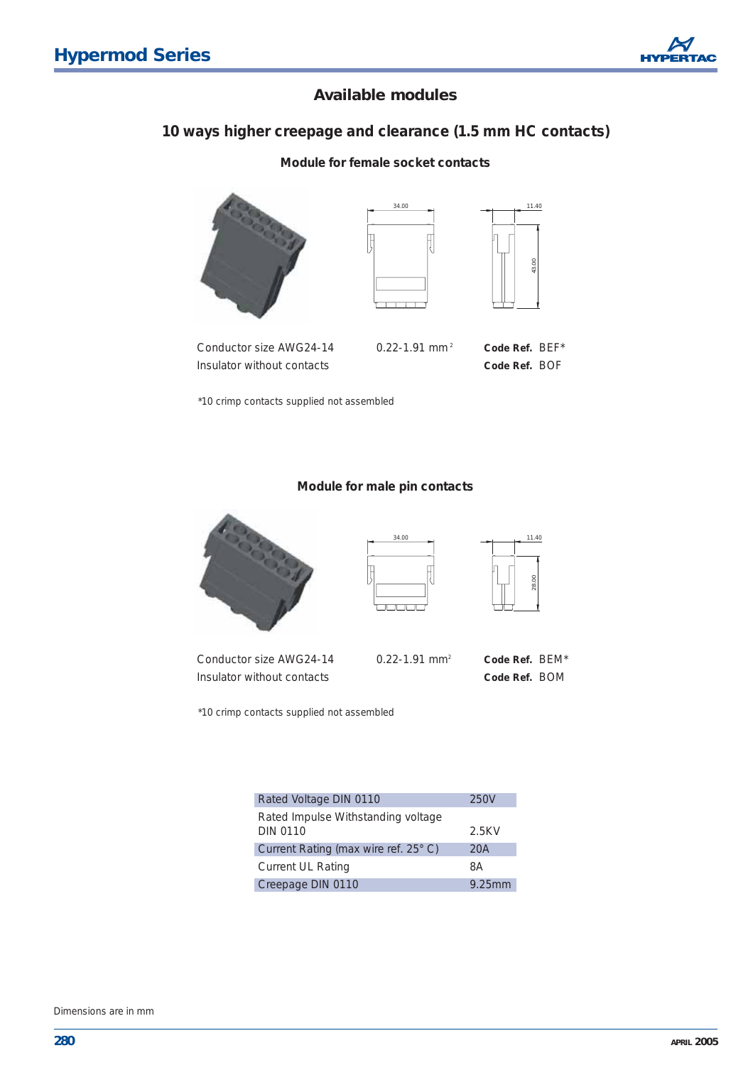## *10 ways higher creepage and clearance (1.5 mm HC contacts)*

#### **Module for female socket contacts**







Conductor size AWG24-14 0.22-1.91 mm <sup>2</sup> **Code Ref.** BEF\* Insulator without contacts **Code Ref.** BOF

\*10 crimp contacts supplied not assembled

#### **Module for male pin contacts**







Conductor size AWG24-14 0.22-1.91 mm2 **Code Ref.** BEM\* Insulator without contacts **Code Ref.** BOM

\*10 crimp contacts supplied not assembled

| Rated Voltage DIN 0110                                | 250V   |
|-------------------------------------------------------|--------|
| Rated Impulse Withstanding voltage<br><b>DIN 0110</b> | 2.5KV  |
| Current Rating (max wire ref. 25° C)                  | 20A    |
| <b>Current UL Rating</b>                              | 8A     |
| Creepage DIN 0110                                     | 9.25mm |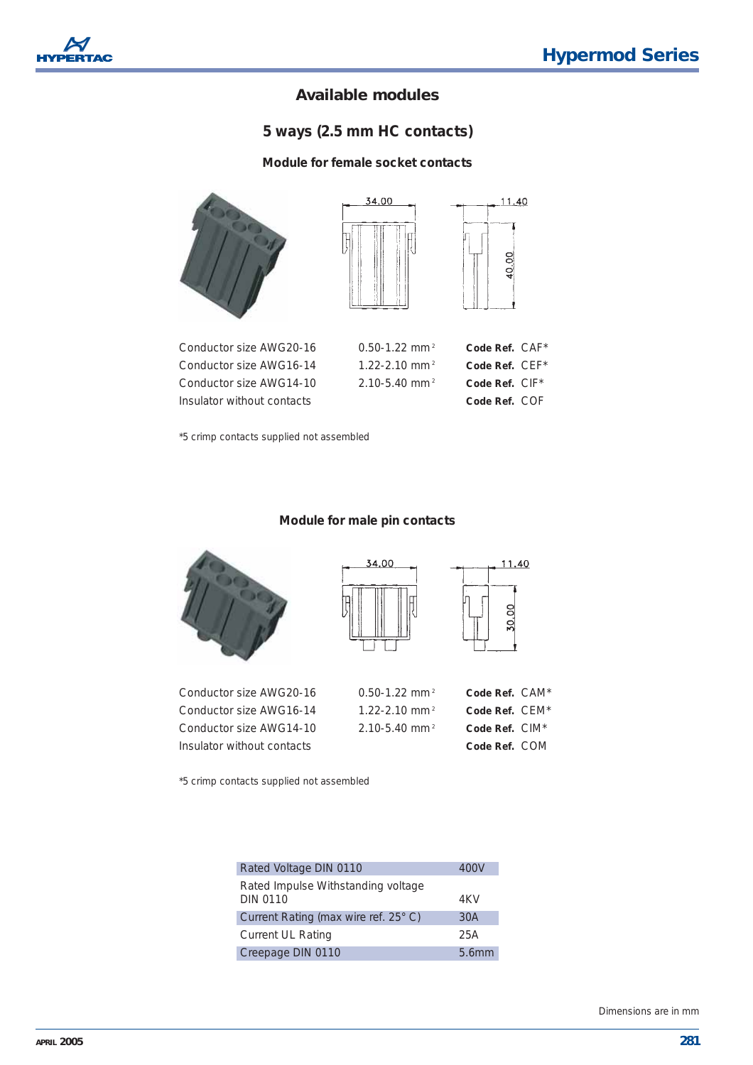

## *5 ways (2.5 mm HC contacts)*

#### **Module for female socket contacts**



\*5 crimp contacts supplied not assembled

#### **Module for male pin contacts**



Conductor Size Award Conductor Size Award Conductor Size Award **Insulator** 





11.40

| or size AWG20-16  | $0.50 - 1.22$ mm <sup>2</sup> | Code Ref. CAM*             |  |
|-------------------|-------------------------------|----------------------------|--|
| or size AWG16-14  | $1.22 - 2.10$ mm <sup>2</sup> | Code Ref. $CEM^*$          |  |
| or size AWG14-10. | $2.10 - 5.40$ mm <sup>2</sup> | Code Ref. CIM <sup>*</sup> |  |
| without contacts  |                               | Code Ref. COM              |  |

\*5 crimp contacts supplied not assembled

| Rated Voltage DIN 0110                                | 400V  |
|-------------------------------------------------------|-------|
| Rated Impulse Withstanding voltage<br><b>DIN 0110</b> | 4KV   |
| Current Rating (max wire ref. 25° C)                  | 30A   |
| <b>Current UL Rating</b>                              | 25A   |
| Creepage DIN 0110                                     | 5.6mm |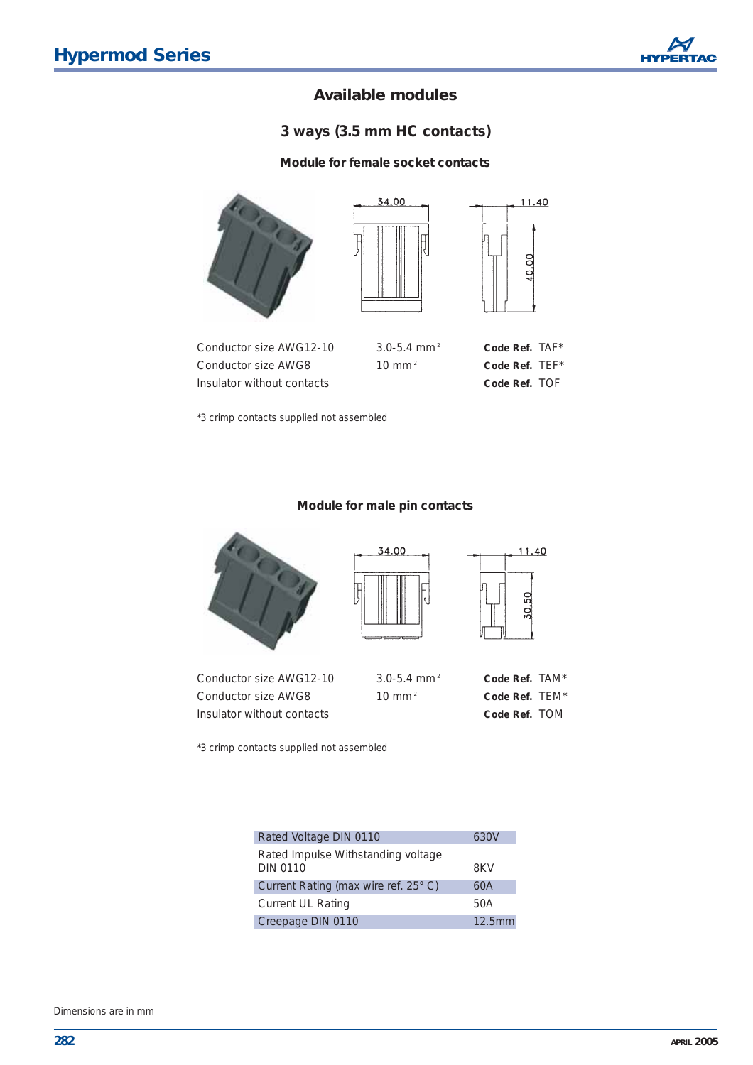## *3 ways (3.5 mm HC contacts)*

#### **Module for female socket contacts**



\*3 crimp contacts supplied not assembled

#### **Module for male pin contacts**



\*3 crimp contacts supplied not assembled

| Rated Voltage DIN 0110                                | 630V   |
|-------------------------------------------------------|--------|
| Rated Impulse Withstanding voltage<br><b>DIN 0110</b> | 8KV    |
| Current Rating (max wire ref. 25° C)                  | 60A    |
| <b>Current UL Rating</b>                              | 50A    |
| Creepage DIN 0110                                     | 12.5mm |

Dimensions are in mm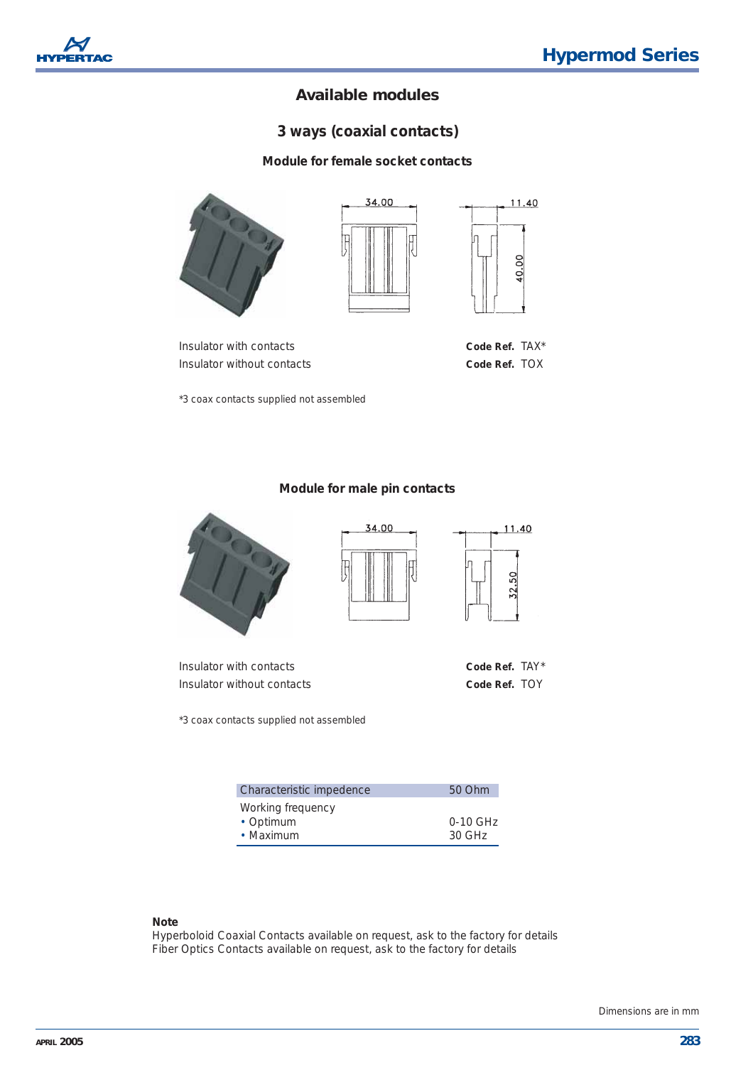## *3 ways (coaxial contacts)*

#### **Module for female socket contacts**









11.40

SO  $\Omega$ 

11.40

**OO**  $\overline{Q}$ 

\*3 coax contacts supplied not assembled

#### **Module for male pin contacts**

34.00



Insulator with contacts **Code Ref.** TAY\* Insulator without contacts **Code Ref.** TOY

\*3 coax contacts supplied not assembled

| Characteristic impedence | 50 Ohm     |
|--------------------------|------------|
| Working frequency        |            |
| • Optimum                | $0-10$ GHz |
| • Maximum                | $30$ GHz   |

#### *Note*

Hyperboloid Coaxial Contacts available on request, ask to the factory for details Fiber Optics Contacts available on request, ask to the factory for details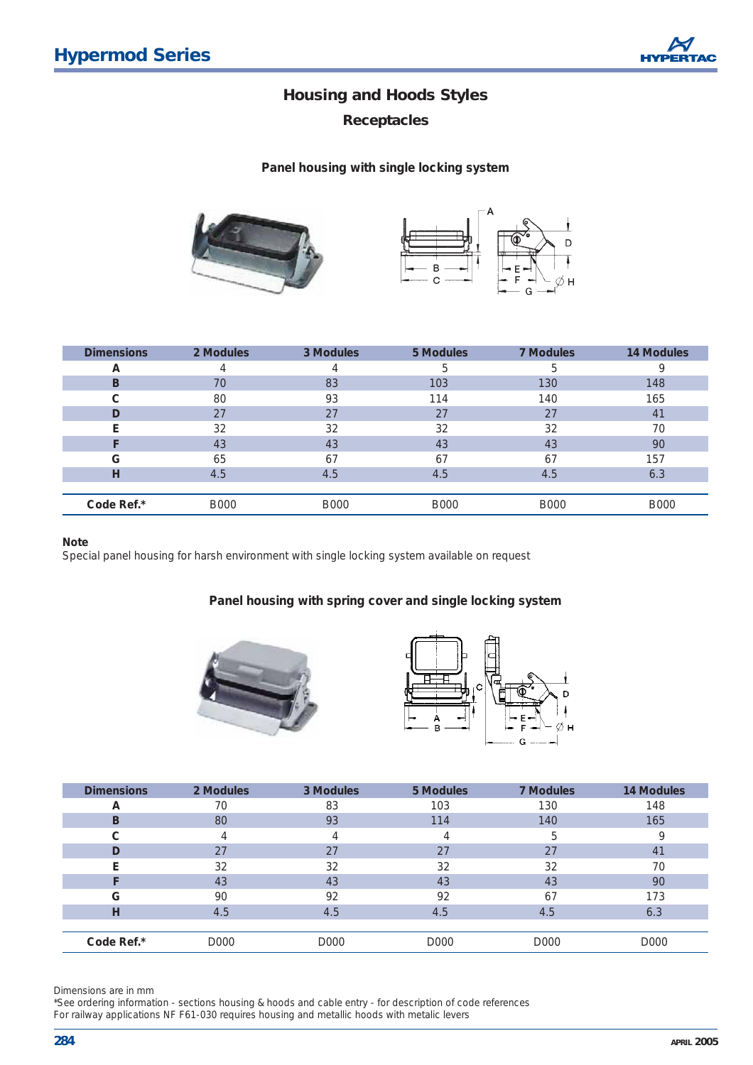*Receptacles*

**Panel housing with single locking system**



| <b>Dimensions</b> | 2 Modules   | 3 Modules   | 5 Modules   | <b>7 Modules</b> | <b>14 Modules</b> |
|-------------------|-------------|-------------|-------------|------------------|-------------------|
| A                 | 4           |             | b           | h                |                   |
| B                 | 70          | 83          | 103         | 130              | 148               |
| C                 | 80          | 93          | 114         | 140              | 165               |
|                   | 27          | 27          | 27          | 27               | 41                |
| E                 | 32          | 32          | 32          | 32               | 70                |
|                   | 43          | 43          | 43          | 43               | 90                |
| G                 | 65          | 67          | 67          | 67               | 157               |
| н                 | 4.5         | 4.5         | 4.5         | 4.5              | 6.3               |
|                   |             |             |             |                  |                   |
| Code Ref.*        | <b>B000</b> | <b>B000</b> | <b>B000</b> | <b>B000</b>      | <b>B000</b>       |

#### **Note**

Special panel housing for harsh environment with single locking system available on request

#### **Panel housing with spring cover and single locking system**





| <b>Dimensions</b> | 2 Modules | 3 Modules | 5 Modules | <b>7 Modules</b> | <b>14 Modules</b> |
|-------------------|-----------|-----------|-----------|------------------|-------------------|
| A                 | 70        | 83        | 103       | 130              | 148               |
| в                 | 80        | 93        | 114       | 140              | 165               |
| С                 |           |           | 4         | 5                |                   |
| D                 | 27        | 27        | 27        | 27               | 41                |
|                   | 32        | 32        | 32        | 32               | 70                |
|                   | 43        | 43        | 43        | 43               | 90                |
| G                 | 90        | 92        | 92        | 67               | 173               |
| н                 | 4.5       | 4.5       | 4.5       | 4.5              | 6.3               |
|                   |           |           |           |                  |                   |
| Code Ref.*        | D000      | D000      | D000      | D000             | D000              |

Dimensions are in mm

\*See ordering information - sections housing & hoods and cable entry - for description of code references For railway applications NF F61-030 requires housing and metallic hoods with metalic levers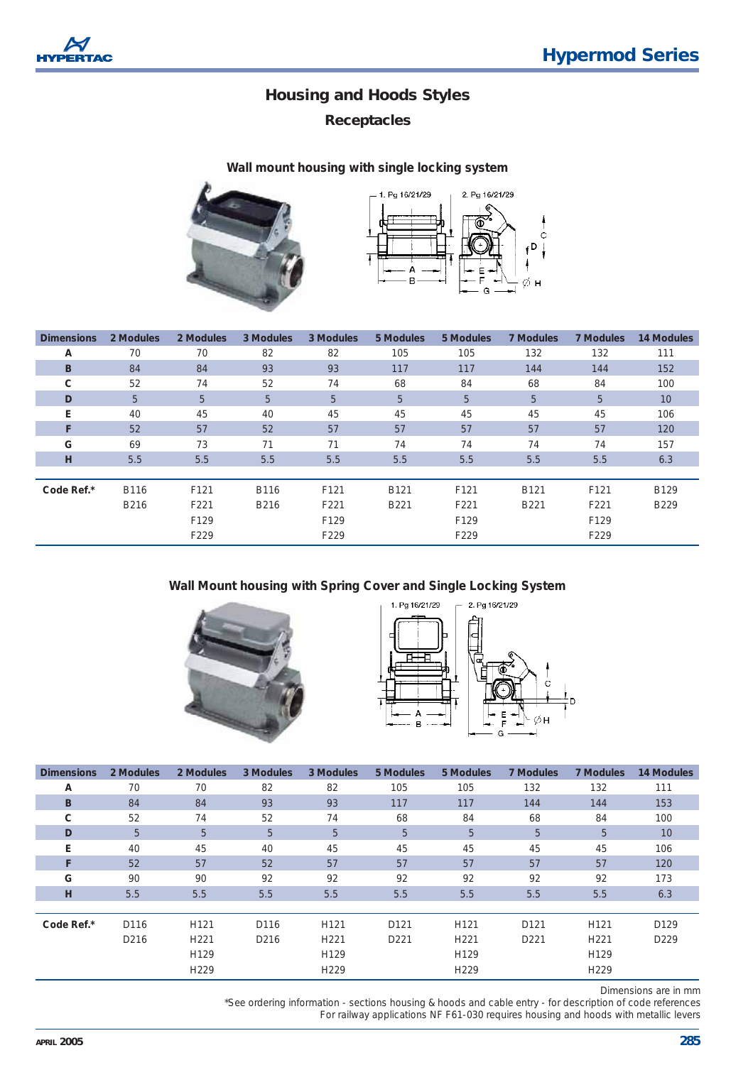

## *Receptacles*

#### **Wall mount housing with single locking system**





| <b>Dimensions</b> | 2 Modules | 2 Modules | 3 Modules | 3 Modules | 5 Modules | 5 Modules | <b>7 Modules</b> | 7 Modules | <b>14 Modules</b> |
|-------------------|-----------|-----------|-----------|-----------|-----------|-----------|------------------|-----------|-------------------|
| А                 | 70        | 70        | 82        | 82        | 105       | 105       | 132              | 132       | 111               |
| B                 | 84        | 84        | 93        | 93        | 117       | 117       | 144              | 144       | 152               |
| C                 | 52        | 74        | 52        | 74        | 68        | 84        | 68               | 84        | 100               |
| D                 | 5         | 5         | 5         | 5         | 5         | 5         | 5                | 5         | 10                |
| E                 | 40        | 45        | 40        | 45        | 45        | 45        | 45               | 45        | 106               |
| F                 | 52        | 57        | 52        | 57        | 57        | 57        | 57               | 57        | 120               |
| G                 | 69        | 73        | 71        | 71        | 74        | 74        | 74               | 74        | 157               |
| H                 | 5.5       | 5.5       | 5.5       | 5.5       | 5.5       | 5.5       | 5.5              | 5.5       | 6.3               |
|                   |           |           |           |           |           |           |                  |           |                   |
| Code Ref.*        | B116      | F121      | B116      | F121      | B121      | F121      | B121             | F121      | B129              |
|                   | B216      | F221      | B216      | F221      | B221      | F221      | B221             | F221      | B229              |
|                   |           | F129      |           | F129      |           | F129      |                  | F129      |                   |
|                   |           | F229      |           | F229      |           | F229      |                  | F229      |                   |

#### **Wall Mount housing with Spring Cover and Single Locking System**





| <b>Dimensions</b> | 2 Modules        | 2 Modules        | 3 Modules        | 3 Modules        | 5 Modules        | 5 Modules        | <b>7 Modules</b> | <b>7 Modules</b> | 14 Modules       |
|-------------------|------------------|------------------|------------------|------------------|------------------|------------------|------------------|------------------|------------------|
| A                 | 70               | 70               | 82               | 82               | 105              | 105              | 132              | 132              | 111              |
| <sub>B</sub>      | 84               | 84               | 93               | 93               | 117              | 117              | 144              | 144              | 153              |
| C                 | 52               | 74               | 52               | 74               | 68               | 84               | 68               | 84               | 100              |
| D                 | 5                | 5                | 5                | 5                | 5                | 5                | 5                | 5 <sup>5</sup>   | 10               |
| E                 | 40               | 45               | 40               | 45               | 45               | 45               | 45               | 45               | 106              |
| F                 | 52               | 57               | 52               | 57               | 57               | 57               | 57               | 57               | 120              |
| G                 | 90               | 90               | 92               | 92               | 92               | 92               | 92               | 92               | 173              |
| н                 | 5.5              | 5.5              | 5.5              | 5.5              | 5.5              | 5.5              | 5.5              | 5.5              | 6.3              |
|                   |                  |                  |                  |                  |                  |                  |                  |                  |                  |
| Code Ref.*        | D <sub>116</sub> | H <sub>121</sub> | D116             | H <sub>121</sub> | D <sub>121</sub> | H <sub>121</sub> | D <sub>121</sub> | H <sub>121</sub> | D <sub>129</sub> |
|                   | D <sub>216</sub> | H <sub>221</sub> | D <sub>216</sub> | H <sub>221</sub> | D <sub>221</sub> | H <sub>221</sub> | D <sub>221</sub> | H <sub>221</sub> | D <sub>229</sub> |
|                   |                  | H <sub>129</sub> |                  | H <sub>129</sub> |                  | H <sub>129</sub> |                  | H129             |                  |
|                   |                  | H <sub>229</sub> |                  | H <sub>229</sub> |                  | H <sub>229</sub> |                  | H229             |                  |

Dimensions are in mm

\*See ordering information - sections housing & hoods and cable entry - for description of code references For railway applications NF F61-030 requires housing and hoods with metallic levers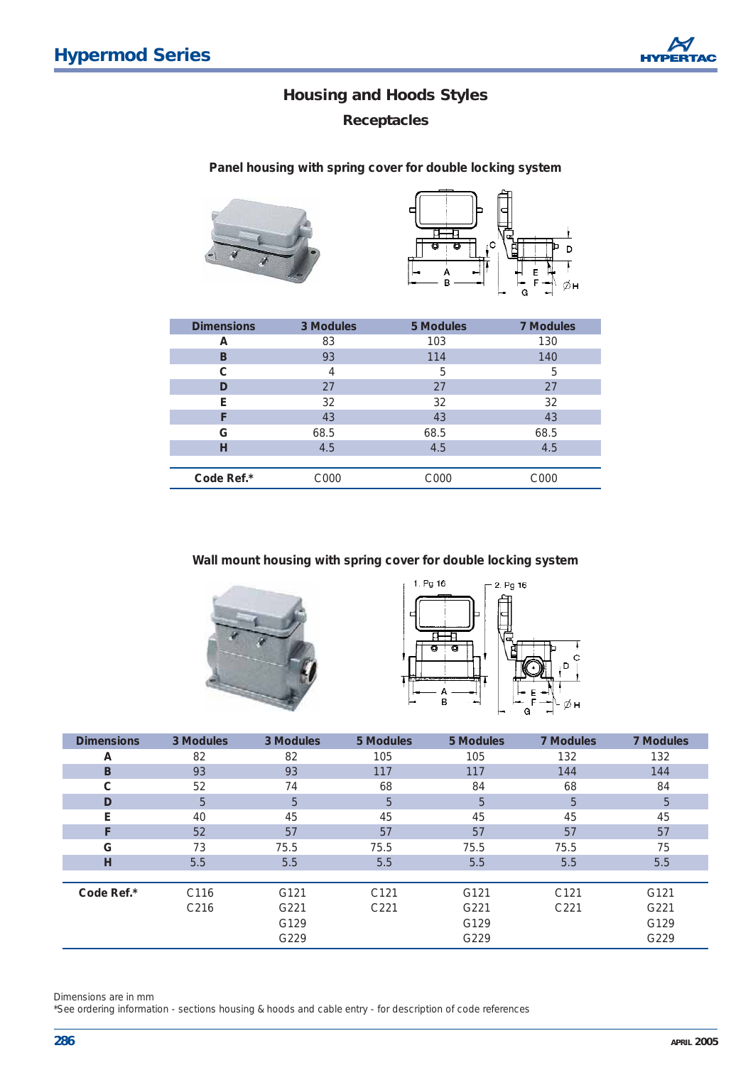*Receptacles*

**Panel housing with spring cover for double locking system**





| <b>Dimensions</b> | 3 Modules | 5 Modules | <b>7 Modules</b> |
|-------------------|-----------|-----------|------------------|
| А                 | 83        | 103       | 130              |
| в                 | 93        | 114       | 140              |
| C                 | 4         | 5         | 5                |
| D                 | 27        | 27        | 27               |
| Е                 | 32        | 32        | 32               |
| F                 | 43        | 43        | 43               |
| G                 | 68.5      | 68.5      | 68.5             |
| н                 | 4.5       | 4.5       | 4.5              |
|                   |           |           |                  |
| Code Ref.*        | C000      | C000      | C000             |

**Wall mount housing with spring cover for double locking system**





| <b>Dimensions</b> | 3 Modules        | 3 Modules | 5 Modules        | 5 Modules | <b>7 Modules</b> | <b>7 Modules</b> |
|-------------------|------------------|-----------|------------------|-----------|------------------|------------------|
| A                 | 82               | 82        | 105              | 105       | 132              | 132              |
| B                 | 93               | 93        | 117              | 117       | 144              | 144              |
| С                 | 52               | 74        | 68               | 84        | 68               | 84               |
| D                 | 5                | 5         | 5                | 5         | 5                | 5                |
| E                 | 40               | 45        | 45               | 45        | 45               | 45               |
| F                 | 52               | 57        | 57               | 57        | 57               | 57               |
| G                 | 73               | 75.5      | 75.5             | 75.5      | 75.5             | 75               |
| н                 | 5.5              | 5.5       | 5.5              | 5.5       | 5.5              | 5.5              |
|                   |                  |           |                  |           |                  |                  |
| Code Ref.*        | C116             | G121      | C <sub>121</sub> | G121      | C <sub>121</sub> | G121             |
|                   | C <sub>216</sub> | G221      | C <sub>221</sub> | G221      | C <sub>221</sub> | G221             |
|                   |                  | G129      |                  | G129      |                  | G129             |
|                   |                  | G229      |                  | G229      |                  | G229             |

Dimensions are in mm

\*See ordering information - sections housing & hoods and cable entry - for description of code references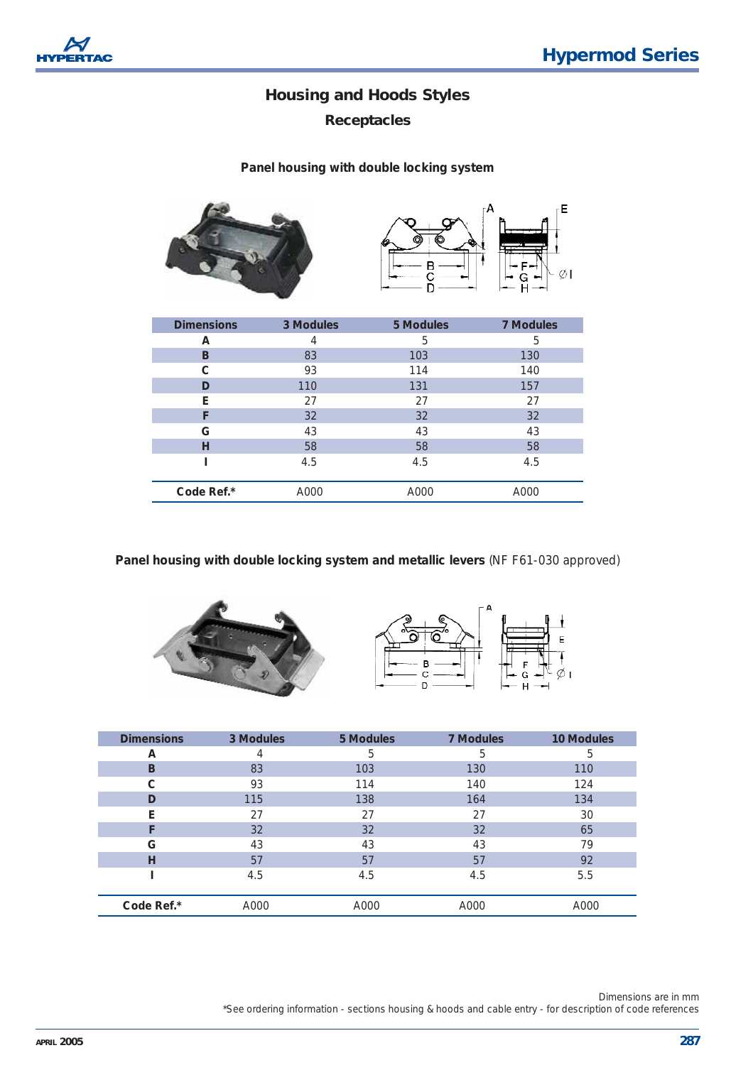E

øι

## **Housing and Hoods Styles**

## *Receptacles*

#### **Panel housing with double locking system**



| <b>Dimensions</b> | 3 Modules | 5 Modules | <b>7 Modules</b> |
|-------------------|-----------|-----------|------------------|
| А                 | 4         | 5         | 5                |
| B                 | 83        | 103       | 130              |
| C                 | 93        | 114       | 140              |
| D                 | 110       | 131       | 157              |
| Е                 | 27        | 27        | 27               |
| F                 | 32        | 32        | 32               |
| G                 | 43        | 43        | 43               |
| н                 | 58        | 58        | 58               |
|                   | 4.5       | 4.5       | 4.5              |
|                   |           |           |                  |
| Code Ref.*        | A000      | A000      | A000             |

**Panel housing with double locking system and metallic levers** *(NF F61-030 approved)*





| <b>Dimensions</b> | 3 Modules | 5 Modules | 7 Modules | <b>10 Modules</b> |
|-------------------|-----------|-----------|-----------|-------------------|
| A                 | 4         | 5         | 5         | 5                 |
| B                 | 83        | 103       | 130       | 110               |
| С                 | 93        | 114       | 140       | 124               |
| D                 | 115       | 138       | 164       | 134               |
| Е                 | 27        | 27        | 27        | 30                |
| F                 | 32        | 32        | 32        | 65                |
| G                 | 43        | 43        | 43        | 79                |
| н                 | 57        | 57        | 57        | 92                |
|                   | 4.5       | 4.5       | 4.5       | 5.5               |
| Code Ref.*        | A000      | A000      | A000      | A000              |

Dimensions are in mm \*See ordering information - sections housing & hoods and cable entry - for description of code references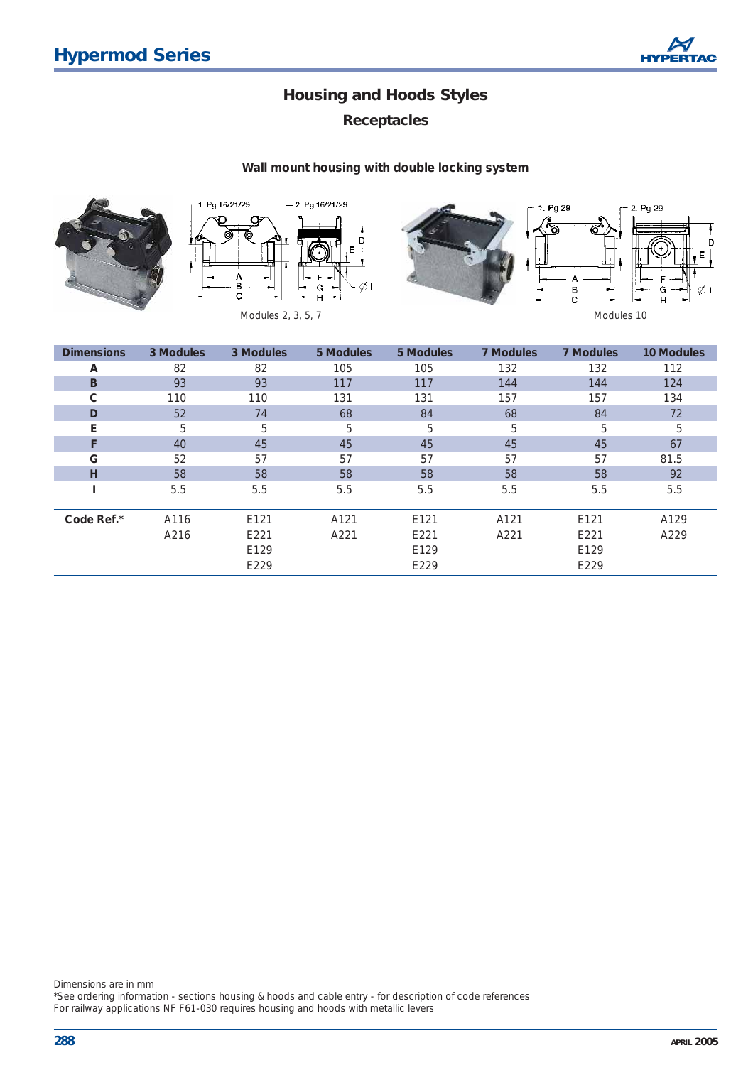

## *Receptacles*

#### **Wall mount housing with double locking system**







| <b>Dimensions</b> | 3 Modules | 3 Modules | 5 Modules | 5 Modules | 7 Modules | <b>7 Modules</b> | <b>10 Modules</b> |
|-------------------|-----------|-----------|-----------|-----------|-----------|------------------|-------------------|
| A                 | 82        | 82        | 105       | 105       | 132       | 132              | 112               |
| B                 | 93        | 93        | 117       | 117       | 144       | 144              | 124               |
| C                 | 110       | 110       | 131       | 131       | 157       | 157              | 134               |
| D                 | 52        | 74        | 68        | 84        | 68        | 84               | 72                |
| E                 | 5         | 5         | 5         | 5         | 5         | 5                | 5                 |
| F                 | 40        | 45        | 45        | 45        | 45        | 45               | 67                |
| G                 | 52        | 57        | 57        | 57        | 57        | 57               | 81.5              |
| н                 | 58        | 58        | 58        | 58        | 58        | 58               | 92                |
|                   | 5.5       | 5.5       | 5.5       | 5.5       | 5.5       | 5.5              | 5.5               |
|                   |           |           |           |           |           |                  |                   |
| Code Ref.*        | A116      | E121      | A121      | E121      | A121      | E121             | A129              |
|                   | A216      | E221      | A221      | E221      | A221      | E221             | A229              |
|                   |           | E129      |           | E129      |           | E129             |                   |
|                   |           | E229      |           | E229      |           | E229             |                   |

Dimensions are in mm

\*See ordering information - sections housing & hoods and cable entry - for description of code references For railway applications NF F61-030 requires housing and hoods with metallic levers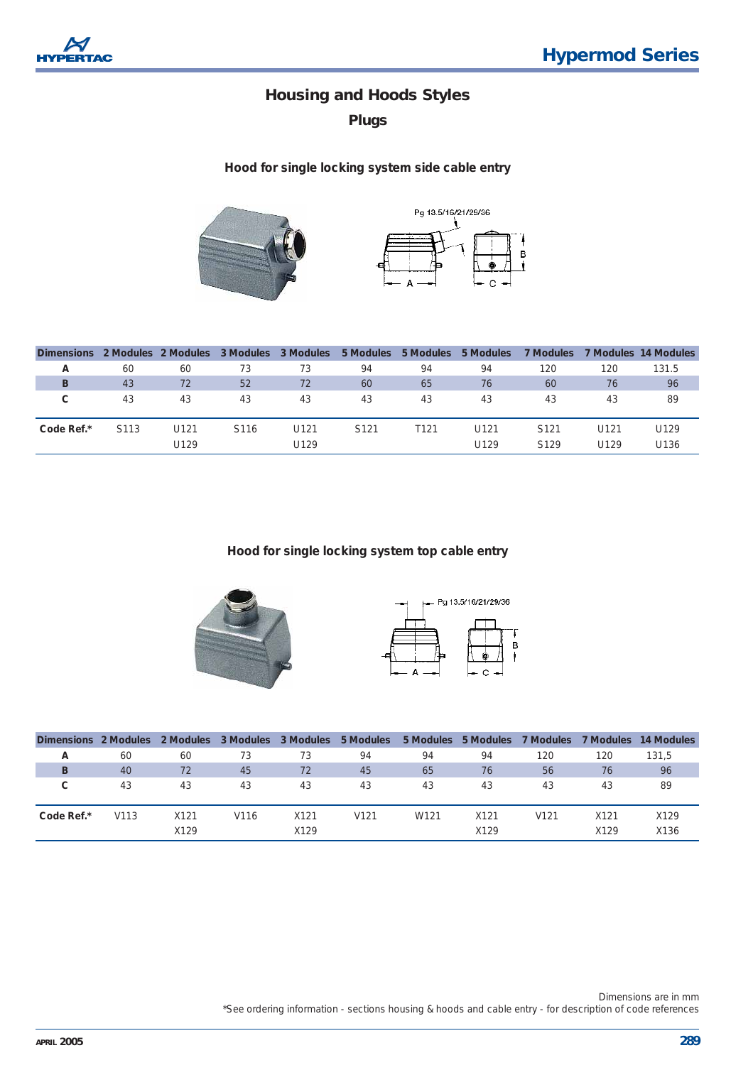

*Plugs*

#### **Hood for single locking system side cable entry**





| <b>Dimensions</b> |      | 2 Modules 2 Modules | 3 Modules | 3 Modules | 5 Modules        | 5 Modules | 5 Modules | <b>7 Modules</b> |      | 7 Modules 14 Modules |
|-------------------|------|---------------------|-----------|-----------|------------------|-----------|-----------|------------------|------|----------------------|
| А                 | 60   | 60                  | 73        | 73        | 94               | 94        | 94        | 120              | 120  | 131.5                |
| B                 | 43   | 72                  | 52        | 72        | 60               | 65        | 76        | 60               | 76   | 96                   |
| C.                | 43   | 43                  | 43        | 43        | 43               | 43        | 43        | 43               | 43   | 89                   |
|                   |      |                     |           |           |                  |           |           |                  |      |                      |
| Code Ref.*        | S113 | U121                | S116      | U121      | S <sub>121</sub> | T121      | U121      | S <sub>121</sub> | U121 | U129                 |
|                   |      | U129                |           | U129      |                  |           | U129      | S129             | U129 | U <sub>136</sub>     |

#### **Hood for single locking system top cable entry**





| Dimensions 2 Modules |      | 2 Modules | 3 Modules 3 Modules |      | 5 Modules        | 5 Modules | 5 Modules | 7 Modules        | 7 Modules | 14 Modules |
|----------------------|------|-----------|---------------------|------|------------------|-----------|-----------|------------------|-----------|------------|
| A                    | 60   | 60        | 73                  | 73   | 94               | 94        | 94        | 120              | 120       | 131,5      |
| B                    | 40   | 72        | 45                  | 72   | 45               | 65        | 76        | 56               | 76        | 96         |
| C                    | 43   | 43        | 43                  | 43   | 43               | 43        | 43        | 43               | 43        | 89         |
|                      |      |           |                     |      |                  |           |           |                  |           |            |
| Code Ref.*           | V113 | X121      | V116                | X121 | V <sub>121</sub> | W121      | X121      | V <sub>121</sub> | X121      | X129       |
|                      |      | X129      |                     | X129 |                  |           | X129      |                  | X129      | X136       |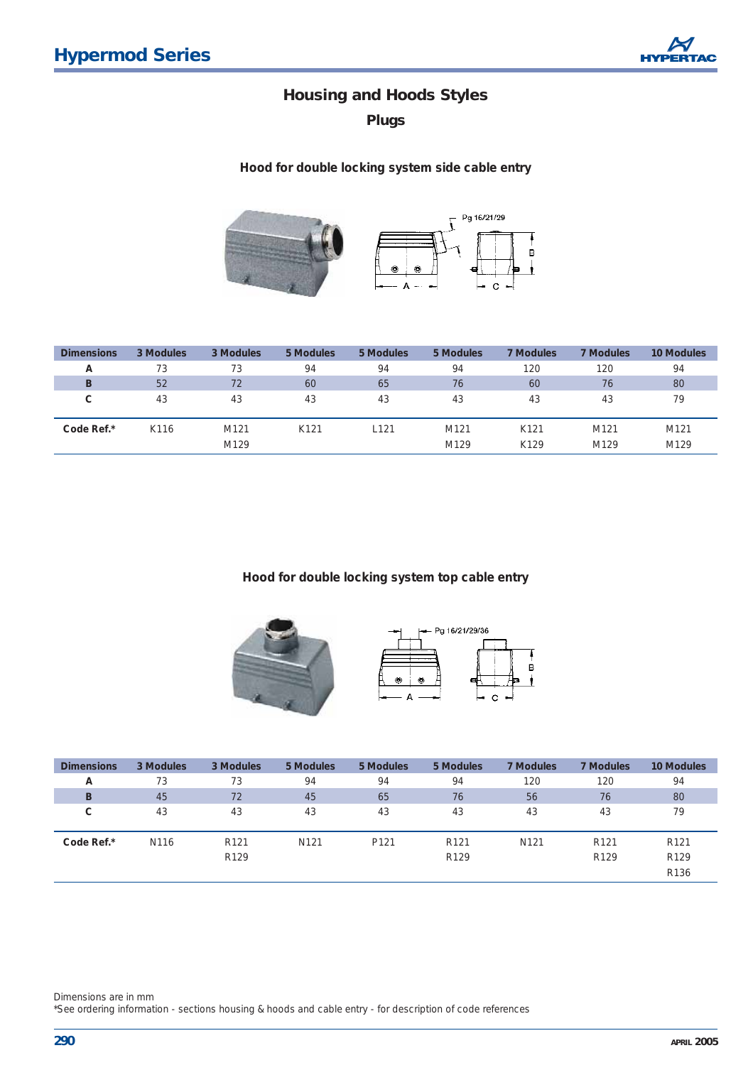

*Plugs*

#### **Hood for double locking system side cable entry**



| <b>Dimensions</b> | 3 Modules | 3 Modules        | 5 Modules        | 5 Modules | 5 Modules | <b>7 Modules</b> | <b>7 Modules</b> | <b>10 Modules</b> |
|-------------------|-----------|------------------|------------------|-----------|-----------|------------------|------------------|-------------------|
| A                 | 73        | 73               | 94               | 94        | 94        | 120              | 120              | 94                |
| B                 | 52        | 72               | 60               | 65        | 76        | 60               | 76               | 80                |
| C                 | 43        | 43               | 43               | 43        | 43        | 43               | 43               | 79                |
|                   |           |                  |                  |           |           |                  |                  |                   |
| Code Ref.*        | K116      | M <sub>121</sub> | K <sub>121</sub> | $L$ 121   | M121      | K <sub>121</sub> | M <sub>121</sub> | M121              |
|                   |           | M129             |                  |           | M129      | K129             | M129             | M129              |

#### **Hood for double locking system top cable entry**





| <b>Dimensions</b> | 3 Modules | 3 Modules        | 5 Modules        | 5 Modules        | 5 Modules        | <b>7 Modules</b> | <b>7 Modules</b> | 10 Modules       |
|-------------------|-----------|------------------|------------------|------------------|------------------|------------------|------------------|------------------|
| A                 | 73        | 73               | 94               | 94               | 94               | 120              | 120              | 94               |
| B                 | 45        | 72               | 45               | 65               | 76               | 56               | 76               | 80               |
| С                 | 43        | 43               | 43               | 43               | 43               | 43               | 43               | 79               |
|                   |           |                  |                  |                  |                  |                  |                  |                  |
| Code Ref.*        | N116      | R <sub>121</sub> | N <sub>121</sub> | P <sub>121</sub> | R <sub>121</sub> | N <sub>121</sub> | R <sub>121</sub> | R <sub>121</sub> |
|                   |           | R <sub>129</sub> |                  |                  | R <sub>129</sub> |                  | R <sub>129</sub> | R <sub>129</sub> |
|                   |           |                  |                  |                  |                  |                  |                  | R136             |

Dimensions are in mm

\*See ordering information - sections housing & hoods and cable entry - for description of code references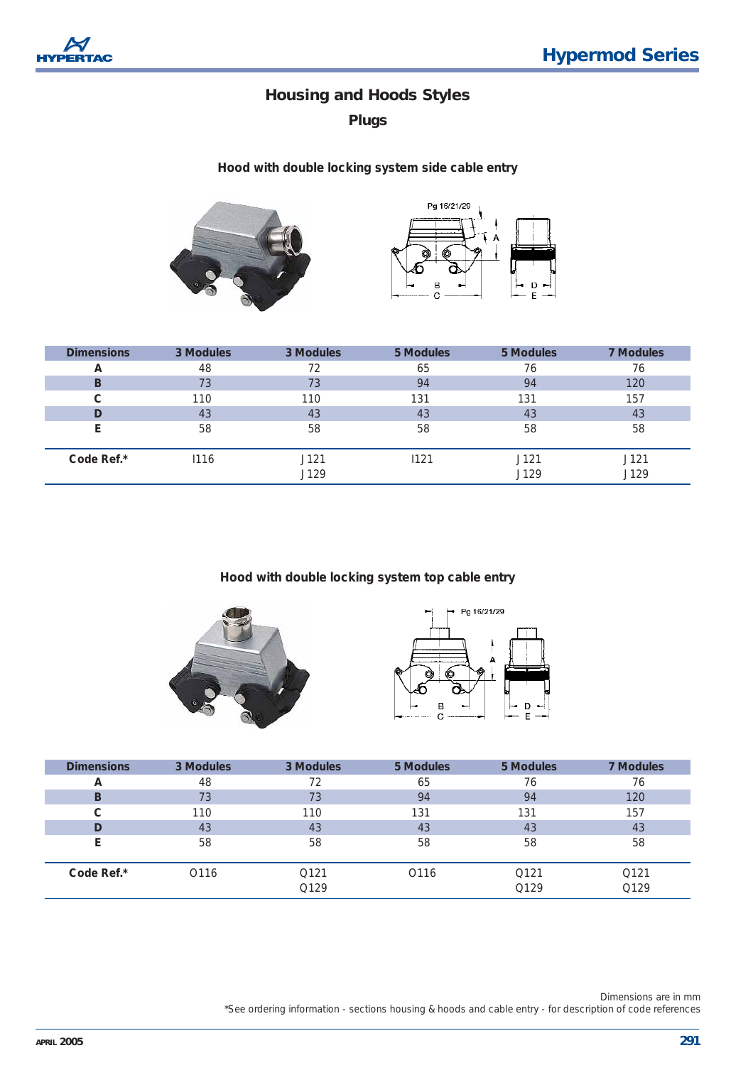

*Plugs*

#### **Hood with double locking system side cable entry**





| <b>Dimensions</b> | 3 Modules | 3 Modules    | 5 Modules | 5 Modules    | <b>7 Modules</b> |
|-------------------|-----------|--------------|-----------|--------------|------------------|
| A                 | 48        | 72           | 65        | 76           | 76               |
| B                 | 73        | 73           | 94        | 94           | 120              |
| C                 | 110       | 110          | 131       | 131          | 157              |
| D                 | 43        | 43           | 43        | 43           | 43               |
|                   | 58        | 58           | 58        | 58           | 58               |
| Code Ref.*        | 1116      | J121<br>J129 | 1121      | J121<br>J129 | J121<br>J129     |

#### **Hood with double locking system top cable entry**





| <b>Dimensions</b> | 3 Modules        | 3 Modules    | 5 Modules        | 5 Modules    | <b>7 Modules</b> |
|-------------------|------------------|--------------|------------------|--------------|------------------|
| A                 | 48               | 72           | 65               | 76           | 76               |
| B                 | 73               | 73           | 94               | 94           | 120              |
| С                 | 110              | 110          | 131              | 131          | 157              |
| D                 | 43               | 43           | 43               | 43           | 43               |
|                   | 58               | 58           | 58               | 58           | 58               |
| Code Ref.*        | O <sub>116</sub> | Q121<br>Q129 | O <sub>116</sub> | Q121<br>Q129 | Q121<br>Q129     |

Dimensions are in mm \*See ordering information - sections housing & hoods and cable entry - for description of code references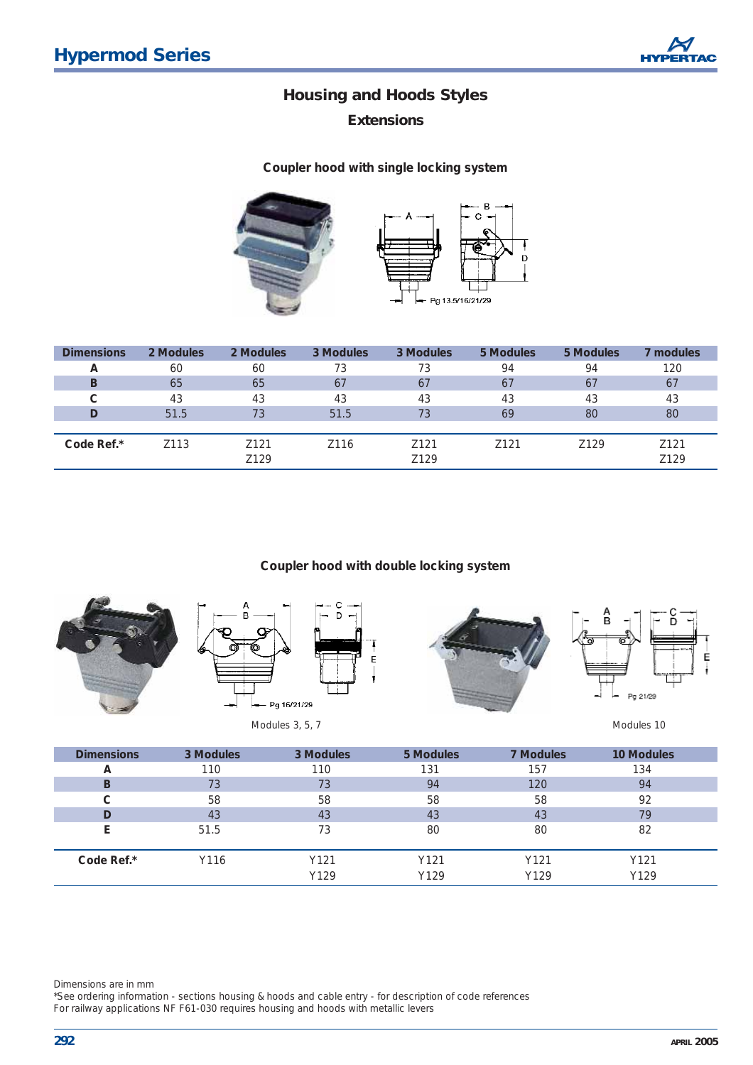*Extensions*

**Coupler hood with single locking system** 



| <b>Dimensions</b> | 2 Modules | 2 Modules        | 3 Modules | 3 Modules        | 5 Modules        | 5 Modules        | 7 modules        |
|-------------------|-----------|------------------|-----------|------------------|------------------|------------------|------------------|
| A                 | 60        | 60               | 73        | 73               | 94               | 94               | 120              |
| B                 | 65        | 65               | 67        | 67               | 67               | 67               | 67               |
| C                 | 43        | 43               | 43        | 43               | 43               | 43               | 43               |
| D                 | 51.5      | 73               | 51.5      | 73               | 69               | 80               | 80               |
|                   |           |                  |           |                  |                  |                  |                  |
| Code Ref.*        | Z113      | Z <sub>121</sub> | Z116      | Z <sub>121</sub> | Z <sub>121</sub> | Z <sub>129</sub> | Z <sub>121</sub> |
|                   |           | Z129             |           | Z129             |                  |                  | Z129             |

#### **Coupler hood with double locking system**





Modules 3, 5, 7 Modules 10





| <b>Dimensions</b> | 3 Modules | 3 Modules | 5 Modules | <b>7 Modules</b> | <b>10 Modules</b> |
|-------------------|-----------|-----------|-----------|------------------|-------------------|
| А                 | 110       | 110       | 131       | 157              | 134               |
| в                 | 73        | 73        | 94        | 120              | 94                |
| С                 | 58        | 58        | 58        | 58               | 92                |
| D                 | 43        | 43        | 43        | 43               | 79                |
|                   | 51.5      | 73        | 80        | 80               | 82                |
|                   |           |           |           |                  |                   |
| Code Ref.*        | Y116      | Y121      | Y121      | Y121             | Y121              |
|                   |           | Y129      | Y129      | Y129             | Y129              |

Dimensions are in mm

\*See ordering information - sections housing & hoods and cable entry - for description of code references For railway applications NF F61-030 requires housing and hoods with metallic levers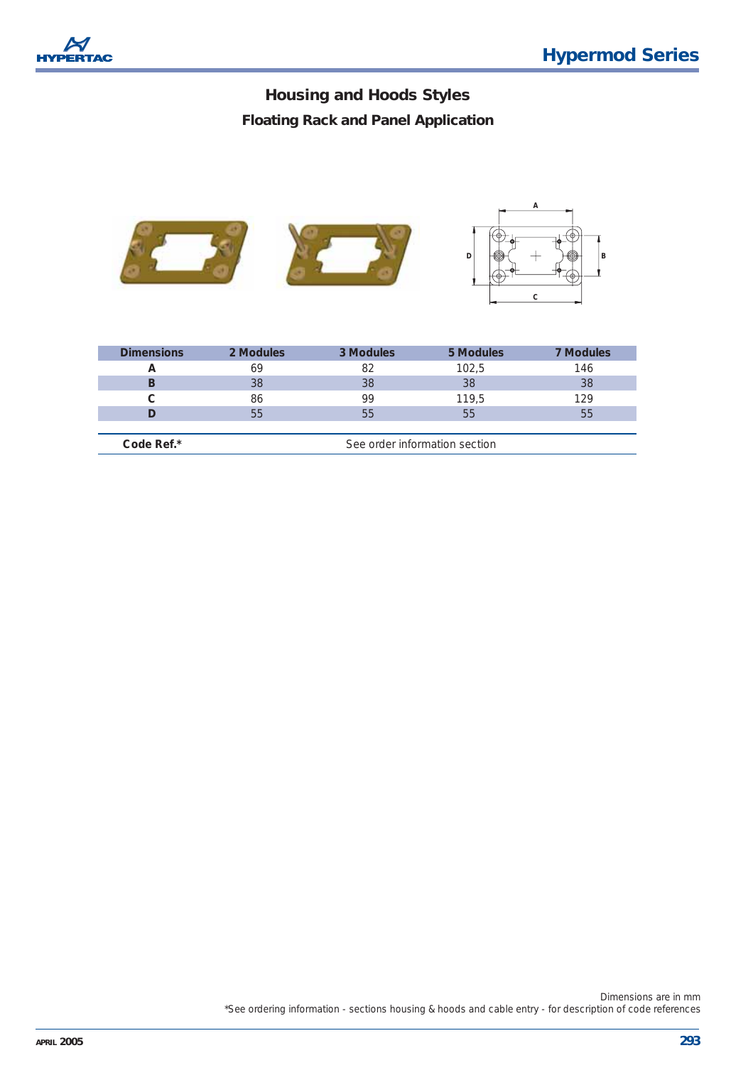*Floating Rack and Panel Application* 



| <b>Dimensions</b> | 2 Modules                     | 3 Modules | 5 Modules | <b>7 Modules</b> |  |  |
|-------------------|-------------------------------|-----------|-----------|------------------|--|--|
| А                 | 69                            | 82        | 102,5     | 146              |  |  |
| В                 | 38                            | 38        | 38        | 38               |  |  |
|                   | 86                            | 99        | 119,5     | 129              |  |  |
|                   | 55                            | 55        | 55        | 55               |  |  |
|                   |                               |           |           |                  |  |  |
| Code Ref.*        | See order information section |           |           |                  |  |  |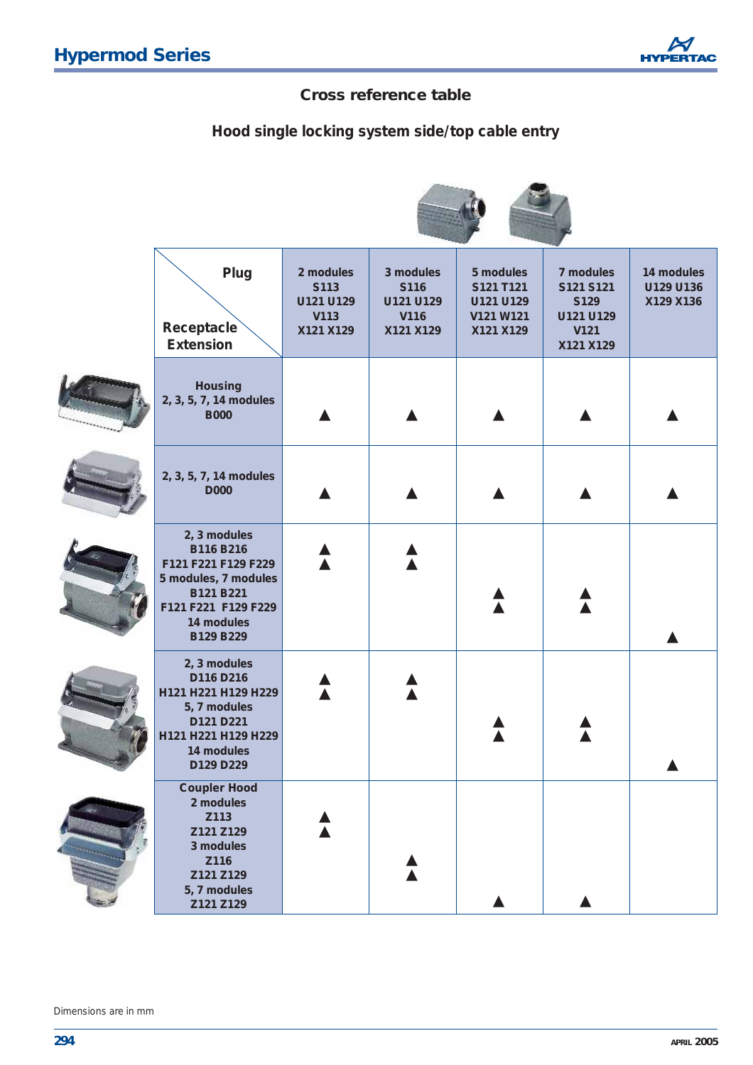## **Cross reference table**

*Hood single locking system side/top cable entry*

| Plug<br>Receptacle<br><b>Extension</b>                                                                                                  | 2 modules<br>S113<br>U121 U129<br>V113<br>X121 X129 | 3 modules<br>S116<br>U121 U129<br>V116<br>X121 X129 | 5 modules<br>S121 T121<br>U121 U129<br>V121 W121<br>X121 X129 | 7 modules<br>S121 S121<br>S129<br>U121 U129<br>V121<br>X121 X129 | 14 modules<br>U129 U136<br>X129 X136 |
|-----------------------------------------------------------------------------------------------------------------------------------------|-----------------------------------------------------|-----------------------------------------------------|---------------------------------------------------------------|------------------------------------------------------------------|--------------------------------------|
| <b>Housing</b><br>2, 3, 5, 7, 14 modules<br><b>B000</b>                                                                                 |                                                     |                                                     |                                                               |                                                                  |                                      |
| 2, 3, 5, 7, 14 modules<br>D000                                                                                                          |                                                     |                                                     |                                                               |                                                                  |                                      |
| 2, 3 modules<br>B116 B216<br>F121 F221 F129 F229<br>5 modules, 7 modules<br>B121 B221<br>F121 F221 F129 F229<br>14 modules<br>B129 B229 |                                                     |                                                     |                                                               |                                                                  |                                      |
| 2, 3 modules<br>D116 D216<br>H121 H221 H129 H229<br>5, 7 modules<br>D121 D221<br>H121 H221 H129 H229<br>14 modules<br>D129 D229         |                                                     |                                                     |                                                               |                                                                  |                                      |
| <b>Coupler Hood</b><br>2 modules<br>Z113<br>Z121 Z129<br>3 modules<br>Z116<br>Z121 Z129<br>5, 7 modules<br>Z121 Z129                    |                                                     |                                                     |                                                               |                                                                  |                                      |

Dimensions are in mm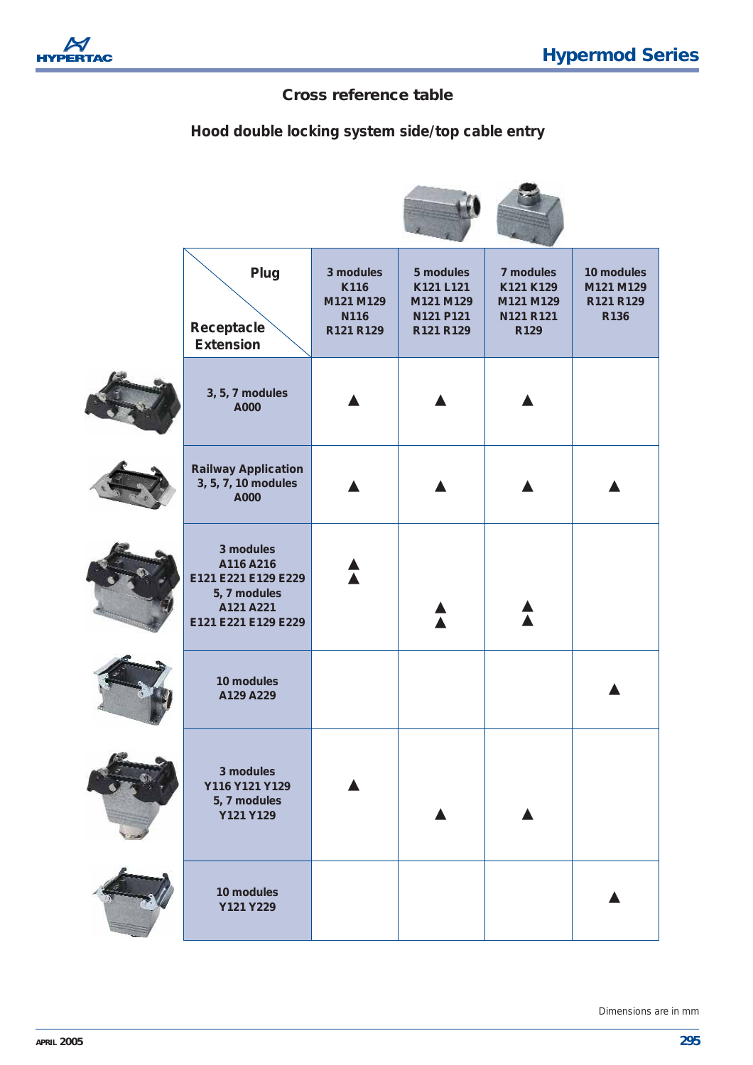

×

## **Cross reference table**

## *Hood double locking system side/top cable entry*

| Plug<br>Receptacle<br><b>Extension</b>                                                            | 3 modules<br>K116<br>M121 M129<br>N116<br>R121 R129 | 5 modules<br>K121 L121<br>M121 M129<br>N121 P121<br>R121 R129 | 7 modules<br>K121 K129<br>M121 M129<br>N121 R121<br>R129 | 10 modules<br>M121 M129<br>R121 R129<br>R136 |
|---------------------------------------------------------------------------------------------------|-----------------------------------------------------|---------------------------------------------------------------|----------------------------------------------------------|----------------------------------------------|
| 3, 5, 7 modules<br>A000                                                                           |                                                     |                                                               |                                                          |                                              |
| <b>Railway Application</b><br>3, 5, 7, 10 modules<br>A000                                         |                                                     |                                                               |                                                          |                                              |
| 3 modules<br>A116 A216<br>E121 E221 E129 E229<br>5, 7 modules<br>A121 A221<br>E121 E221 E129 E229 |                                                     |                                                               |                                                          |                                              |
| 10 modules<br>A129 A229                                                                           |                                                     |                                                               |                                                          |                                              |
| 3 modules<br>Y116 Y121 Y129<br>5, 7 modules<br>Y121 Y129                                          |                                                     |                                                               |                                                          |                                              |
| 10 modules<br>Y121 Y229                                                                           |                                                     |                                                               |                                                          |                                              |

Dimensions are in mm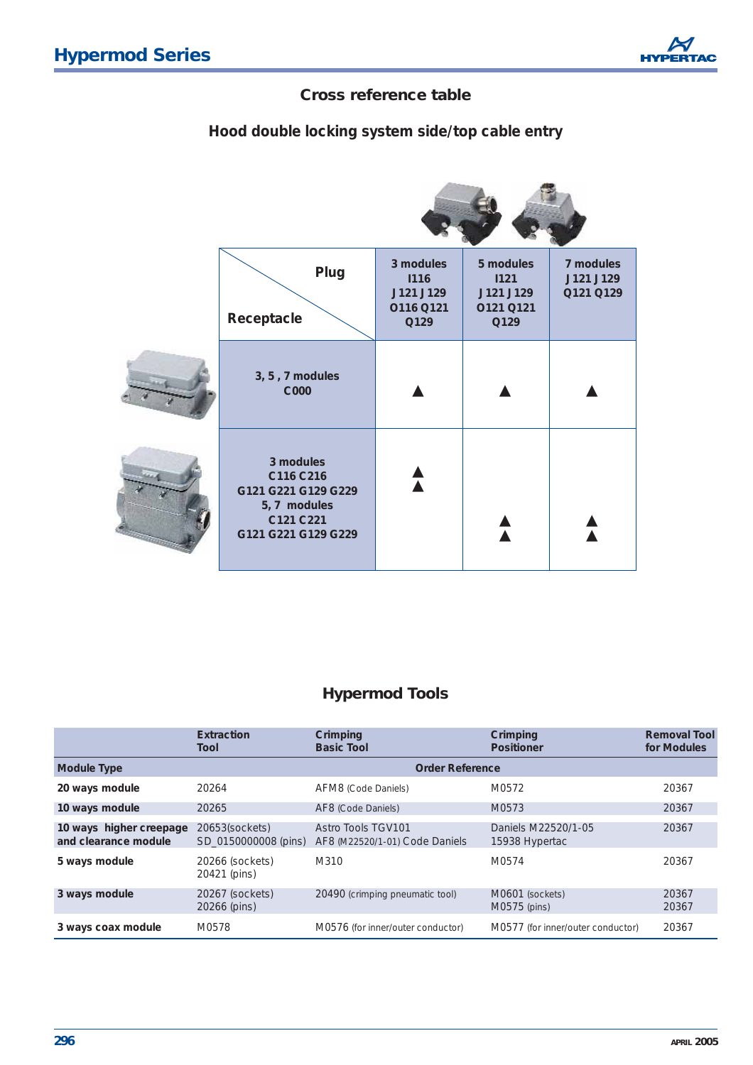## **Cross reference table**

*Hood double locking system side/top cable entry*

| Plug<br>Receptacle                                                                                | 3 modules<br><b>I116</b><br>J121 J129<br>O116 Q121<br>Q129 | 5 modules<br>1121<br>J121 J129<br>0121 0121<br>Q129 | 7 modules<br>J121 J129<br>Q121 Q129 |
|---------------------------------------------------------------------------------------------------|------------------------------------------------------------|-----------------------------------------------------|-------------------------------------|
| 3, 5, 7 modules<br><b>C000</b>                                                                    |                                                            |                                                     |                                     |
| 3 modules<br>C116 C216<br>G121 G221 G129 G229<br>5, 7 modules<br>C121 C221<br>G121 G221 G129 G229 |                                                            |                                                     |                                     |

# **Hypermod Tools**

|                                                 | Extraction<br>Tool                     | Crimping<br><b>Basic Tool</b>                        | Crimping<br><b>Positioner</b>         | <b>Removal Tool</b><br>for Modules |
|-------------------------------------------------|----------------------------------------|------------------------------------------------------|---------------------------------------|------------------------------------|
| <b>Module Type</b>                              |                                        | <b>Order Reference</b>                               |                                       |                                    |
| 20 ways module                                  | 20264                                  | AFM8 (Code Daniels)                                  | M0572                                 | 20367                              |
| 10 ways module                                  | 20265                                  | AF8 (Code Daniels)                                   | M0573                                 | 20367                              |
| 10 ways higher creepage<br>and clearance module | 20653(sockets)<br>SD 0150000008 (pins) | Astro Tools TGV101<br>AF8 (M22520/1-01) Code Daniels | Daniels M22520/1-05<br>15938 Hypertac | 20367                              |
| 5 ways module                                   | 20266 (sockets)<br>20421 (pins)        | M310                                                 | M0574                                 | 20367                              |
| 3 ways module                                   | 20267 (sockets)<br>20266 (pins)        | 20490 (crimping pneumatic tool)                      | M0601 (sockets)<br>$M0575$ (pins)     | 20367<br>20367                     |
| 3 ways coax module                              | M0578                                  | M0576 (for inner/outer conductor)                    | M0577 (for inner/outer conductor)     | 20367                              |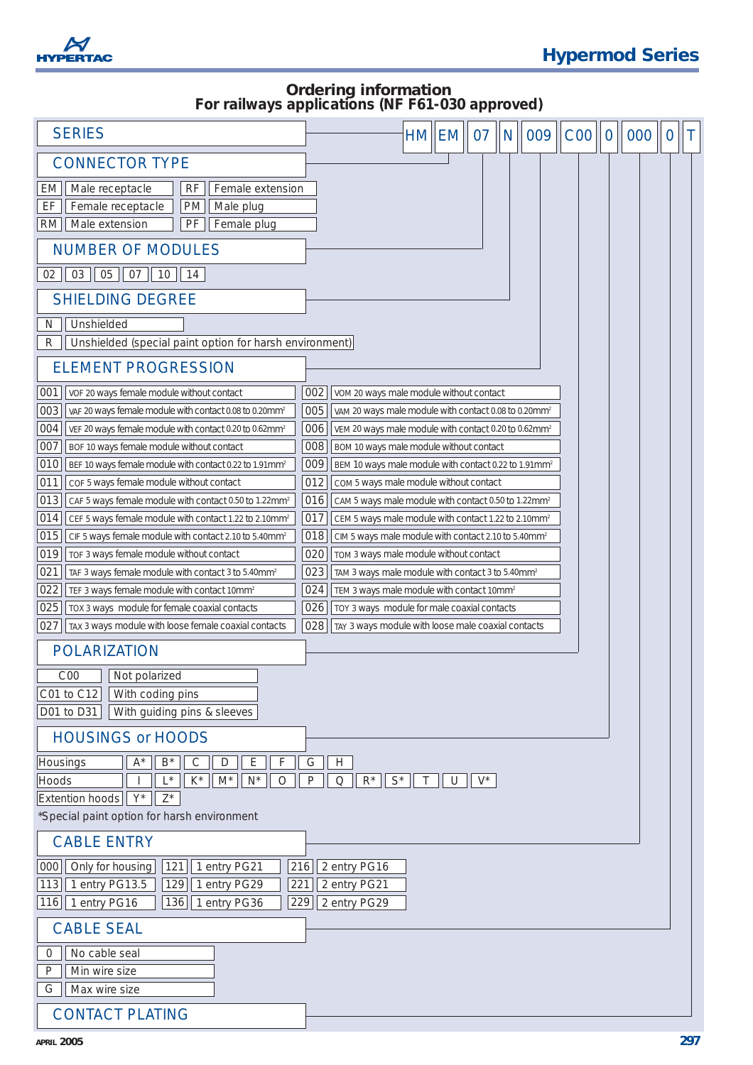

# **Ordering information** *For railways applications (NF F61-030 approved)*

| <b>SERIES</b>                                                                                                                                        |            |                                                                                                                                    | HM  EM | 07    | N | 009 | COO | $\overline{0}$ | 000 | $\overline{0}$ | Τ |
|------------------------------------------------------------------------------------------------------------------------------------------------------|------------|------------------------------------------------------------------------------------------------------------------------------------|--------|-------|---|-----|-----|----------------|-----|----------------|---|
| <b>CONNECTOR TYPE</b>                                                                                                                                |            |                                                                                                                                    |        |       |   |     |     |                |     |                |   |
| Male receptacle<br><b>RF</b><br>Female extension<br>EM<br>EF<br>Female receptacle<br>PM<br>Male plug<br>PF<br>Female plug<br>RM<br>Male extension    |            |                                                                                                                                    |        |       |   |     |     |                |     |                |   |
| <b>NUMBER OF MODULES</b>                                                                                                                             |            |                                                                                                                                    |        |       |   |     |     |                |     |                |   |
| 05<br>02<br>03<br>07<br>$10$  <br>14                                                                                                                 |            |                                                                                                                                    |        |       |   |     |     |                |     |                |   |
| <b>SHIELDING DEGREE</b>                                                                                                                              |            |                                                                                                                                    |        |       |   |     |     |                |     |                |   |
| Unshielded<br>N                                                                                                                                      |            |                                                                                                                                    |        |       |   |     |     |                |     |                |   |
| Unshielded (special paint option for harsh environment)<br>R                                                                                         |            |                                                                                                                                    |        |       |   |     |     |                |     |                |   |
| <b>ELEMENT PROGRESSION</b>                                                                                                                           |            |                                                                                                                                    |        |       |   |     |     |                |     |                |   |
| 001<br>VOF 20 ways female module without contact                                                                                                     | 002        | VOM 20 ways male module without contact                                                                                            |        |       |   |     |     |                |     |                |   |
| 003<br>VAF 20 ways female module with contact 0.08 to 0.20mm <sup>2</sup>                                                                            | 005        | VAM 20 ways male module with contact 0.08 to 0.20mm <sup>2</sup>                                                                   |        |       |   |     |     |                |     |                |   |
| 004<br>VEF 20 ways female module with contact 0.20 to 0.62mm <sup>2</sup>                                                                            | 006        | VEM 20 ways male module with contact 0.20 to 0.62mm <sup>2</sup>                                                                   |        |       |   |     |     |                |     |                |   |
| 007<br>BOF 10 ways female module without contact                                                                                                     | 008        | BOM 10 ways male module without contact                                                                                            |        |       |   |     |     |                |     |                |   |
| 010<br>BEF 10 ways female module with contact 0.22 to 1.91mm <sup>2</sup>                                                                            | 009        | BEM 10 ways male module with contact 0.22 to 1.91mm <sup>2</sup>                                                                   |        |       |   |     |     |                |     |                |   |
| 011<br>COF 5 ways female module without contact                                                                                                      | 012        | COM 5 ways male module without contact                                                                                             |        |       |   |     |     |                |     |                |   |
| 013<br>CAF 5 ways female module with contact 0.50 to 1.22mm <sup>2</sup>                                                                             | 016<br>017 | CAM 5 ways male module with contact 0.50 to 1.22mm <sup>2</sup>                                                                    |        |       |   |     |     |                |     |                |   |
| 014<br>CEF 5 ways female module with contact 1.22 to 2.10mm <sup>2</sup><br>015<br>CIF 5 ways female module with contact 2.10 to 5.40mm <sup>2</sup> | 018        | CEM 5 ways male module with contact 1.22 to 2.10mm <sup>2</sup><br>CIM 5 ways male module with contact 2.10 to 5.40mm <sup>2</sup> |        |       |   |     |     |                |     |                |   |
| 019<br>TOF 3 ways female module without contact                                                                                                      | 020        | TOM 3 ways male module without contact                                                                                             |        |       |   |     |     |                |     |                |   |
| 021<br>TAF 3 ways female module with contact 3 to 5.40mm <sup>2</sup>                                                                                | 023        | TAM 3 ways male module with contact 3 to 5.40mm <sup>2</sup>                                                                       |        |       |   |     |     |                |     |                |   |
| 022<br>TEF 3 ways female module with contact 10mm <sup>2</sup>                                                                                       | 024        | TEM 3 ways male module with contact 10mm <sup>2</sup>                                                                              |        |       |   |     |     |                |     |                |   |
| 025<br>TOX 3 ways module for female coaxial contacts                                                                                                 | 026        | TOY 3 ways module for male coaxial contacts                                                                                        |        |       |   |     |     |                |     |                |   |
| 027<br>TAX 3 ways module with loose female coaxial contacts                                                                                          | 028        | TAY 3 ways module with loose male coaxial contacts                                                                                 |        |       |   |     |     |                |     |                |   |
| <b>POLARIZATION</b>                                                                                                                                  |            |                                                                                                                                    |        |       |   |     |     |                |     |                |   |
| COO<br>Not polarized                                                                                                                                 |            |                                                                                                                                    |        |       |   |     |     |                |     |                |   |
| With coding pins<br>C01 to C12                                                                                                                       |            |                                                                                                                                    |        |       |   |     |     |                |     |                |   |
| With guiding pins & sleeves<br>D01 to D31                                                                                                            |            |                                                                                                                                    |        |       |   |     |     |                |     |                |   |
| <b>HOUSINGS or HOODS</b>                                                                                                                             |            |                                                                                                                                    |        |       |   |     |     |                |     |                |   |
| $\mathsf{B}^{\star}$<br>$\mathsf C$<br>$\mathsf D$<br>Ε<br>F<br>$A^*$<br>Housings                                                                    | G          | $\boldsymbol{\mathsf{H}}$                                                                                                          |        |       |   |     |     |                |     |                |   |
| $\mathsf{K}^\star$<br>$N^*$<br>Hoods<br>$L^*$<br>$M^*$<br>$\circ$                                                                                    | P          | $\mathsf{R}^\star$<br>$\mathsf{S}^{\star}$<br>Q<br>Τ                                                                               | U      | $V^*$ |   |     |     |                |     |                |   |
| Extention hoods<br>$Y^*$<br>$Z^*$                                                                                                                    |            |                                                                                                                                    |        |       |   |     |     |                |     |                |   |
| *Special paint option for harsh environment                                                                                                          |            |                                                                                                                                    |        |       |   |     |     |                |     |                |   |
| <b>CABLE ENTRY</b>                                                                                                                                   |            |                                                                                                                                    |        |       |   |     |     |                |     |                |   |
| Only for housing<br>000<br>121<br>1 entry PG21                                                                                                       | 216        | 2 entry PG16                                                                                                                       |        |       |   |     |     |                |     |                |   |
| 1 entry PG13.5<br>129<br>1 entry PG29<br>113                                                                                                         | 221        | 2 entry PG21                                                                                                                       |        |       |   |     |     |                |     |                |   |
| 136<br>1 entry PG36<br>116<br>1 entry PG16                                                                                                           | 229        | 2 entry PG29                                                                                                                       |        |       |   |     |     |                |     |                |   |
| <b>CABLE SEAL</b>                                                                                                                                    |            |                                                                                                                                    |        |       |   |     |     |                |     |                |   |
| No cable seal<br>0                                                                                                                                   |            |                                                                                                                                    |        |       |   |     |     |                |     |                |   |
| Min wire size<br>P                                                                                                                                   |            |                                                                                                                                    |        |       |   |     |     |                |     |                |   |
| Max wire size<br>G                                                                                                                                   |            |                                                                                                                                    |        |       |   |     |     |                |     |                |   |
| <b>CONTACT PLATING</b>                                                                                                                               |            |                                                                                                                                    |        |       |   |     |     |                |     |                |   |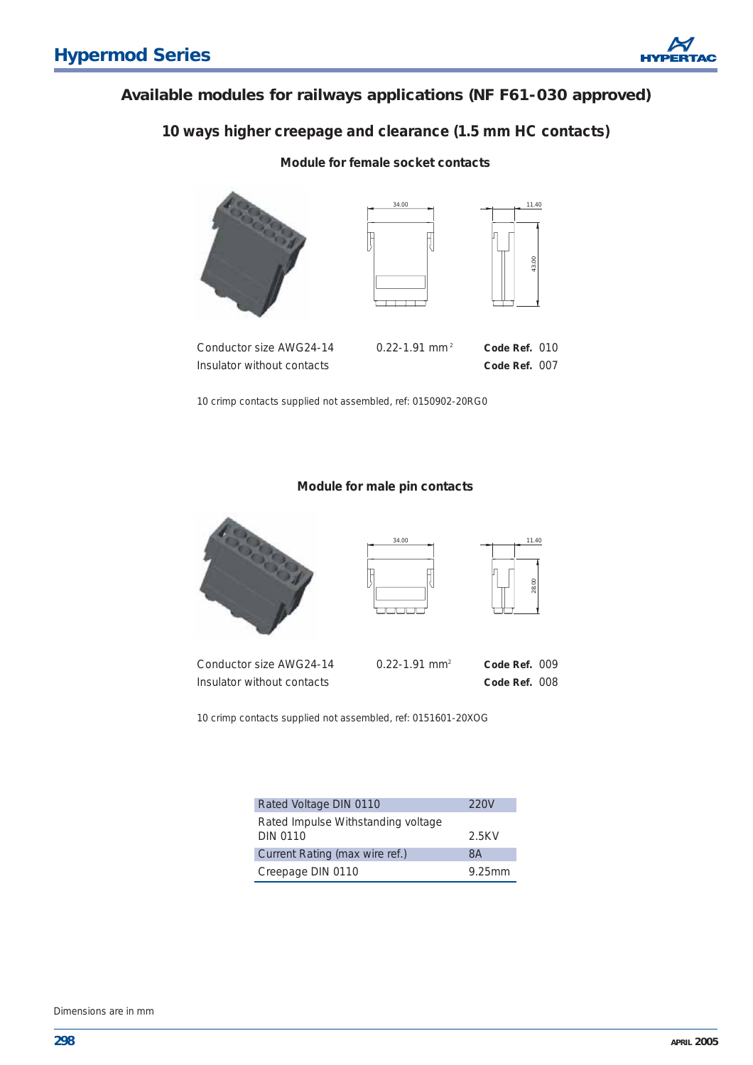## **Available modules for railways applications (NF F61-030 approved)**

## *10 ways higher creepage and clearance (1.5 mm HC contacts)*

#### **Module for female socket contacts**





Conductor size AWG24-14 0.22-1.91 mm <sup>2</sup> **Code Ref.** 010 Insulator without contacts **Code Ref.** 007

| $\rm{nm}\,{}^2$ | Code Ref. 010            |  |
|-----------------|--------------------------|--|
|                 | $C - 1 - D - E$ $(0, 0)$ |  |

43.00

11.40

10 crimp contacts supplied not assembled, ref: 0150902-20RG0

#### **Module for male pin contacts**







| Conductor size AWG24-14    | $0.22 - 1.91$ mm <sup>2</sup> | Code Ref. 009 |  |
|----------------------------|-------------------------------|---------------|--|
| Insulator without contacts |                               | Code Ref. 008 |  |

10 crimp contacts supplied not assembled, ref: 0151601-20XOG

| Rated Voltage DIN 0110                                | 220V   |
|-------------------------------------------------------|--------|
| Rated Impulse Withstanding voltage<br><b>DIN 0110</b> | 2.5KV  |
| Current Rating (max wire ref.)                        | 8Α     |
| Creepage DIN 0110                                     | 9.25mm |